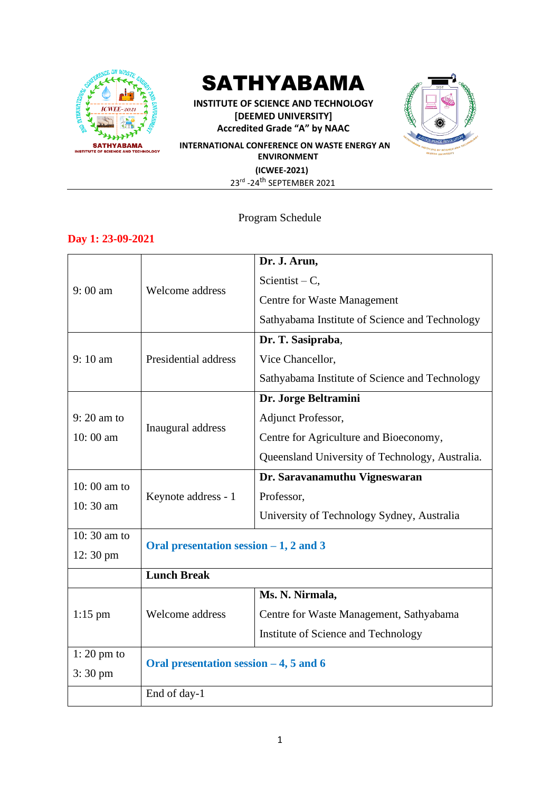

# SATHYABAMA

**INSTITUTE OF SCIENCE AND TECHNOLOGY [DEEMED UNIVERSITY] Accredited Grade "A" by NAAC**



**INTERNATIONAL CONFERENCE ON WASTE ENERGY AN ENVIRONMENT (ICWEE-2021)** 23rd -24<sup>th</sup> SEPTEMBER 2021

## Program Schedule

## **Day 1: 23-09-2021**

|                      |                                          | Dr. J. Arun,                                    |  |  |  |
|----------------------|------------------------------------------|-------------------------------------------------|--|--|--|
| $9:00 \text{ am}$    |                                          | Scientist – $C$ ,                               |  |  |  |
|                      | Welcome address                          |                                                 |  |  |  |
|                      |                                          | <b>Centre for Waste Management</b>              |  |  |  |
|                      |                                          | Sathyabama Institute of Science and Technology  |  |  |  |
|                      |                                          | Dr. T. Sasipraba,                               |  |  |  |
| 9:10 am              | Presidential address                     | Vice Chancellor,                                |  |  |  |
|                      |                                          | Sathyabama Institute of Science and Technology  |  |  |  |
|                      |                                          | Dr. Jorge Beltramini                            |  |  |  |
| $9:20$ am to         |                                          | Adjunct Professor,                              |  |  |  |
| $10:00$ am           | Inaugural address                        | Centre for Agriculture and Bioeconomy,          |  |  |  |
|                      |                                          | Queensland University of Technology, Australia. |  |  |  |
|                      |                                          | Dr. Saravanamuthu Vigneswaran                   |  |  |  |
| $10:00$ am to        | Keynote address - 1                      | Professor,                                      |  |  |  |
| 10:30 am             |                                          | University of Technology Sydney, Australia      |  |  |  |
| 10:30 am to          | Oral presentation session $-1$ , 2 and 3 |                                                 |  |  |  |
| 12:30 pm             |                                          |                                                 |  |  |  |
|                      | <b>Lunch Break</b>                       |                                                 |  |  |  |
|                      |                                          | Ms. N. Nirmala,                                 |  |  |  |
| $1:15$ pm            | Welcome address                          | Centre for Waste Management, Sathyabama         |  |  |  |
|                      |                                          | Institute of Science and Technology             |  |  |  |
| $1:20 \text{ pm}$ to |                                          |                                                 |  |  |  |
| $3:30 \text{ pm}$    | Oral presentation session $-4$ , 5 and 6 |                                                 |  |  |  |
|                      | End of day-1                             |                                                 |  |  |  |
|                      |                                          |                                                 |  |  |  |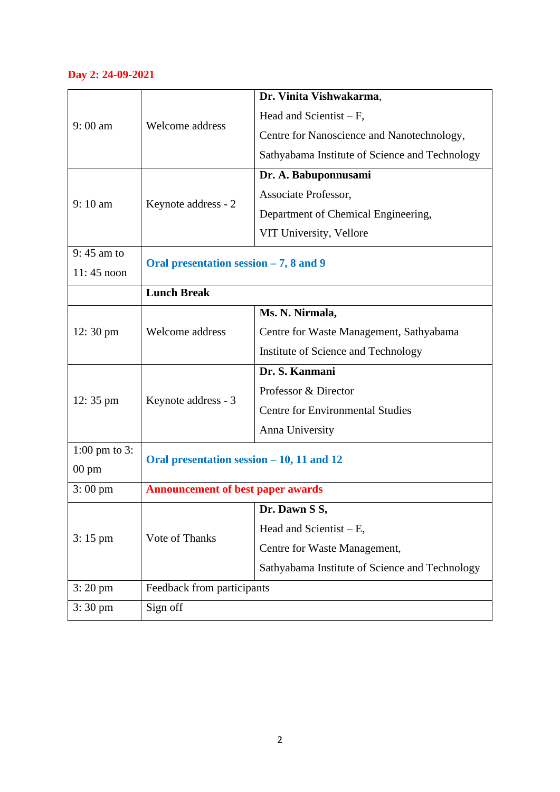## **Day 2: 24-09-2021**

|                         |                                           | Dr. Vinita Vishwakarma,                        |  |  |  |  |
|-------------------------|-------------------------------------------|------------------------------------------------|--|--|--|--|
| $9:00$ am               |                                           | Head and Scientist $-F$ ,                      |  |  |  |  |
|                         | Welcome address                           | Centre for Nanoscience and Nanotechnology,     |  |  |  |  |
|                         |                                           | Sathyabama Institute of Science and Technology |  |  |  |  |
|                         |                                           | Dr. A. Babuponnusami                           |  |  |  |  |
|                         |                                           | Associate Professor,                           |  |  |  |  |
| 9:10 am                 | Keynote address - 2                       | Department of Chemical Engineering,            |  |  |  |  |
|                         |                                           | VIT University, Vellore                        |  |  |  |  |
| $9:45$ am to            |                                           |                                                |  |  |  |  |
| $11:45$ noon            | Oral presentation session $-7$ , 8 and 9  |                                                |  |  |  |  |
|                         | <b>Lunch Break</b>                        |                                                |  |  |  |  |
|                         |                                           | Ms. N. Nirmala,                                |  |  |  |  |
| $12:30 \text{ pm}$      | Welcome address                           | Centre for Waste Management, Sathyabama        |  |  |  |  |
|                         |                                           | Institute of Science and Technology            |  |  |  |  |
|                         |                                           | Dr. S. Kanmani                                 |  |  |  |  |
|                         | Keynote address - 3                       | Professor & Director                           |  |  |  |  |
| $12:35 \text{ pm}$      |                                           | <b>Centre for Environmental Studies</b>        |  |  |  |  |
|                         |                                           | Anna University                                |  |  |  |  |
| $1:00 \text{ pm}$ to 3: |                                           |                                                |  |  |  |  |
| $00 \text{ pm}$         | Oral presentation session – 10, 11 and 12 |                                                |  |  |  |  |
| $3:00 \text{ pm}$       | <b>Announcement of best paper awards</b>  |                                                |  |  |  |  |
| $3:15 \text{ pm}$       |                                           | Dr. Dawn S S,                                  |  |  |  |  |
|                         | Vote of Thanks                            | Head and Scientist $- E$ ,                     |  |  |  |  |
|                         |                                           | Centre for Waste Management,                   |  |  |  |  |
|                         |                                           | Sathyabama Institute of Science and Technology |  |  |  |  |
| $3:20 \text{ pm}$       | Feedback from participants                |                                                |  |  |  |  |
| $3:30 \text{ pm}$       | Sign off                                  |                                                |  |  |  |  |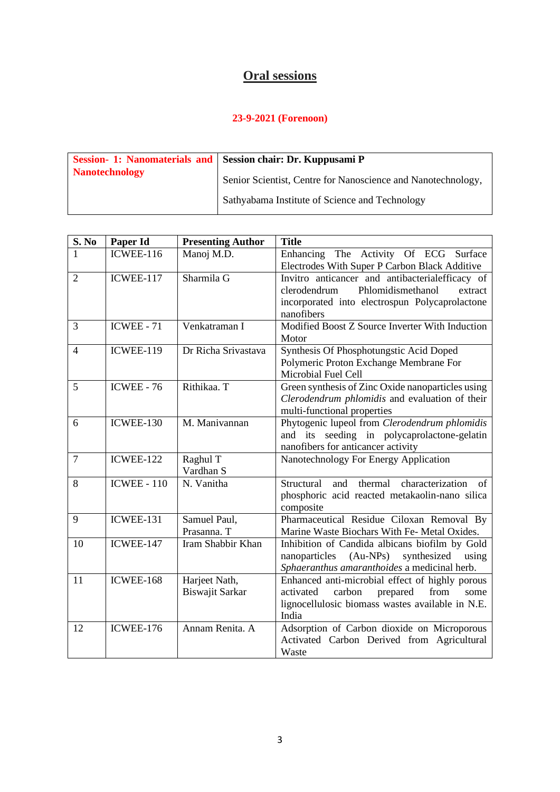# **Oral sessions**

| <b>Nanotechnology</b><br>Senior Scientist, Centre for Nanoscience and Nanotechnology,<br>Sathyabama Institute of Science and Technology | Session- 1: Nanomaterials and Session chair: Dr. Kuppusami P |
|-----------------------------------------------------------------------------------------------------------------------------------------|--------------------------------------------------------------|
|                                                                                                                                         |                                                              |

| S. No          | Paper Id           | <b>Presenting Author</b> | <b>Title</b>                                              |
|----------------|--------------------|--------------------------|-----------------------------------------------------------|
|                | ICWEE-116          | Manoj M.D.               | The Activity Of ECG Surface<br>Enhancing                  |
|                |                    |                          | Electrodes With Super P Carbon Black Additive             |
| $\overline{2}$ | ICWEE-117          | Sharmila G               | Invitro anticancer and antibacterialefficacy of           |
|                |                    |                          | Phlomidismethanol<br>clerodendrum<br>extract              |
|                |                    |                          | incorporated into electrospun Polycaprolactone            |
|                |                    |                          | nanofibers                                                |
| 3              | <b>ICWEE - 71</b>  | Venkatraman I            | Modified Boost Z Source Inverter With Induction<br>Motor  |
| $\overline{4}$ | ICWEE-119          | Dr Richa Srivastava      | Synthesis Of Phosphotungstic Acid Doped                   |
|                |                    |                          | Polymeric Proton Exchange Membrane For                    |
|                |                    |                          | Microbial Fuel Cell                                       |
| 5              | <b>ICWEE - 76</b>  | Rithikaa. T              | Green synthesis of Zinc Oxide nanoparticles using         |
|                |                    |                          | Clerodendrum phlomidis and evaluation of their            |
|                |                    |                          | multi-functional properties                               |
| 6              | ICWEE-130          | M. Manivannan            | Phytogenic lupeol from Clerodendrum phlomidis             |
|                |                    |                          | and its seeding in polycaprolactone-gelatin               |
|                |                    |                          | nanofibers for anticancer activity                        |
| $\tau$         | ICWEE-122          | Raghul T                 | Nanotechnology For Energy Application                     |
|                |                    | Vardhan S                |                                                           |
| 8              | <b>ICWEE - 110</b> | N. Vanitha               | characterization<br>Structural<br>thermal<br>and<br>of    |
|                |                    |                          | phosphoric acid reacted metakaolin-nano silica            |
|                |                    |                          | composite                                                 |
| 9              | ICWEE-131          | Samuel Paul,             | Pharmaceutical Residue Ciloxan Removal By                 |
|                |                    | Prasanna. T              | Marine Waste Biochars With Fe- Metal Oxides.              |
| 10             | ICWEE-147          | Iram Shabbir Khan        | Inhibition of Candida albicans biofilm by Gold            |
|                |                    |                          | nanoparticles (Au-NPs)<br>synthesized<br>using            |
|                |                    |                          | Sphaeranthus amaranthoides a medicinal herb.              |
| 11             | ICWEE-168          | Harjeet Nath,            | Enhanced anti-microbial effect of highly porous           |
|                |                    | Biswajit Sarkar          | activated<br>carbon<br>prepared<br>from<br>some           |
|                |                    |                          | lignocellulosic biomass wastes available in N.E.<br>India |
| 12             | ICWEE-176          | Annam Renita. A          |                                                           |
|                |                    |                          | Adsorption of Carbon dioxide on Microporous               |
|                |                    |                          | Activated Carbon Derived from Agricultural<br>Waste       |
|                |                    |                          |                                                           |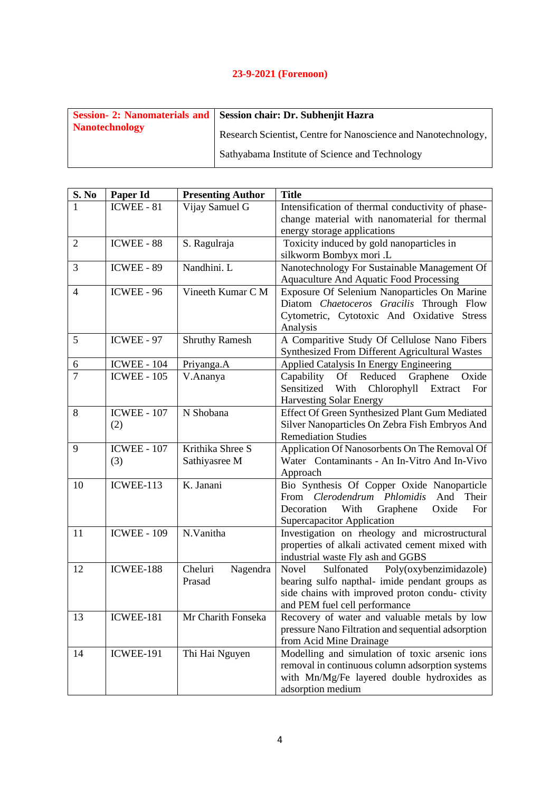|                       | Session - 2: Nanomaterials and   Session chair: Dr. Subhenjit Hazra |
|-----------------------|---------------------------------------------------------------------|
| <b>Nanotechnology</b> | Research Scientist, Centre for Nanoscience and Nanotechnology,      |
|                       | Sathyabama Institute of Science and Technology                      |

| S. No                    | Paper Id           | <b>Presenting Author</b> | <b>Title</b>                                          |
|--------------------------|--------------------|--------------------------|-------------------------------------------------------|
|                          | ICWEE - 81         | Vijay Samuel G           | Intensification of thermal conductivity of phase-     |
|                          |                    |                          | change material with nanomaterial for thermal         |
|                          |                    |                          | energy storage applications                           |
| $\overline{2}$           | ICWEE - 88         | S. Ragulraja             | Toxicity induced by gold nanoparticles in             |
|                          |                    |                          | silkworm Bombyx mori .L                               |
| 3                        | ICWEE - 89         | Nandhini. L              | Nanotechnology For Sustainable Management Of          |
|                          |                    |                          | <b>Aquaculture And Aquatic Food Processing</b>        |
| $\overline{\mathcal{L}}$ | ICWEE - 96         | Vineeth Kumar C M        | Exposure Of Selenium Nanoparticles On Marine          |
|                          |                    |                          | Diatom Chaetoceros Gracilis Through Flow              |
|                          |                    |                          | Cytometric, Cytotoxic And Oxidative Stress            |
|                          |                    |                          | Analysis                                              |
| 5                        | ICWEE - 97         | <b>Shruthy Ramesh</b>    | A Comparitive Study Of Cellulose Nano Fibers          |
|                          |                    |                          | Synthesized From Different Agricultural Wastes        |
| $\sqrt{6}$               | <b>ICWEE - 104</b> | Priyanga.A               | Applied Catalysis In Energy Engineering               |
| $\overline{7}$           | <b>ICWEE - 105</b> | V.Ananya                 | Oxide<br>Capability Of Reduced Graphene               |
|                          |                    |                          | Sensitized With<br>Chlorophyll Extract<br>For         |
|                          |                    |                          | <b>Harvesting Solar Energy</b>                        |
| 8                        | <b>ICWEE - 107</b> | N Shobana                | <b>Effect Of Green Synthesized Plant Gum Mediated</b> |
|                          | (2)                |                          | Silver Nanoparticles On Zebra Fish Embryos And        |
|                          |                    |                          | <b>Remediation Studies</b>                            |
| 9                        | <b>ICWEE - 107</b> | Krithika Shree S         | Application Of Nanosorbents On The Removal Of         |
|                          | (3)                | Sathiyasree M            | Water Contaminants - An In-Vitro And In-Vivo          |
|                          |                    |                          | Approach                                              |
| 10                       | ICWEE-113          | K. Janani                | Bio Synthesis Of Copper Oxide Nanoparticle            |
|                          |                    |                          | From Clerodendrum Phlomidis<br>And<br>Their           |
|                          |                    |                          | Decoration<br>With<br>Graphene<br>Oxide<br>For        |
|                          |                    |                          | Supercapacitor Application                            |
| 11                       | <b>ICWEE - 109</b> | N.Vanitha                | Investigation on rheology and microstructural         |
|                          |                    |                          | properties of alkali activated cement mixed with      |
|                          |                    |                          | industrial waste Fly ash and GGBS                     |
| 12                       | ICWEE-188          | Cheluri<br>Nagendra      | Sulfonated<br>Poly(oxybenzimidazole)<br>Novel         |
|                          |                    | Prasad                   | bearing sulfo napthal- imide pendant groups as        |
|                          |                    |                          | side chains with improved proton condu-ctivity        |
|                          |                    |                          | and PEM fuel cell performance                         |
| 13                       | ICWEE-181          | Mr Charith Fonseka       | Recovery of water and valuable metals by low          |
|                          |                    |                          | pressure Nano Filtration and sequential adsorption    |
|                          |                    |                          | from Acid Mine Drainage                               |
| 14                       | <b>ICWEE-191</b>   | Thi Hai Nguyen           | Modelling and simulation of toxic arsenic ions        |
|                          |                    |                          | removal in continuous column adsorption systems       |
|                          |                    |                          | with Mn/Mg/Fe layered double hydroxides as            |
|                          |                    |                          | adsorption medium                                     |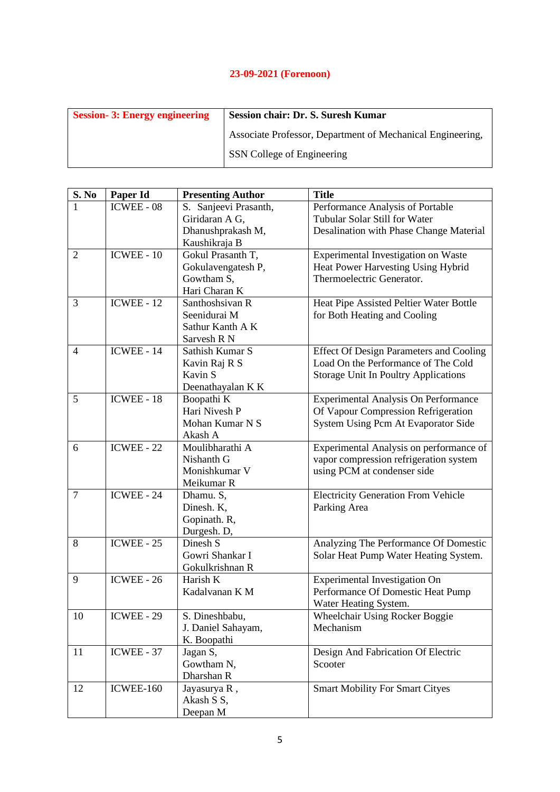| <b>Session-3: Energy engineering</b> | <b>Session chair: Dr. S. Suresh Kumar</b>                  |
|--------------------------------------|------------------------------------------------------------|
|                                      | Associate Professor, Department of Mechanical Engineering, |
|                                      | SSN College of Engineering                                 |

| S. No          | Paper Id          | <b>Presenting Author</b> | <b>Title</b>                                   |
|----------------|-------------------|--------------------------|------------------------------------------------|
|                | <b>ICWEE - 08</b> | S. Sanjeevi Prasanth,    | Performance Analysis of Portable               |
|                |                   | Giridaran A G,           | Tubular Solar Still for Water                  |
|                |                   | Dhanushprakash M,        | Desalination with Phase Change Material        |
|                |                   | Kaushikraja B            |                                                |
| $\overline{2}$ | $ICWEE - 10$      | Gokul Prasanth T,        | Experimental Investigation on Waste            |
|                |                   | Gokulavengatesh P,       | Heat Power Harvesting Using Hybrid             |
|                |                   | Gowtham S,               | Thermoelectric Generator.                      |
|                |                   | Hari Charan K            |                                                |
| 3              | <b>ICWEE - 12</b> | Santhoshsivan R          | Heat Pipe Assisted Peltier Water Bottle        |
|                |                   | Seenidurai M             | for Both Heating and Cooling                   |
|                |                   | Sathur Kanth A K         |                                                |
|                |                   | Sarvesh R N              |                                                |
| 4              | ICWEE - 14        | Sathish Kumar S          | <b>Effect Of Design Parameters and Cooling</b> |
|                |                   | Kavin Raj R S            | Load On the Performance of The Cold            |
|                |                   | Kavin S                  | <b>Storage Unit In Poultry Applications</b>    |
|                |                   | Deenathayalan K K        |                                                |
| 5              | ICWEE - $18$      | Boopathi K               | Experimental Analysis On Performance           |
|                |                   | Hari Nivesh P            | Of Vapour Compression Refrigeration            |
|                |                   | Mohan Kumar N S          | System Using Pcm At Evaporator Side            |
|                |                   | Akash A                  |                                                |
| 6              | <b>ICWEE - 22</b> | Moulibharathi A          | Experimental Analysis on performance of        |
|                |                   | Nishanth G               | vapor compression refrigeration system         |
|                |                   | Monishkumar V            | using PCM at condenser side                    |
|                |                   | Meikumar R               |                                                |
| $\overline{7}$ | ICWEE - 24        | Dhamu. S,                | <b>Electricity Generation From Vehicle</b>     |
|                |                   | Dinesh. K,               | Parking Area                                   |
|                |                   | Gopinath. R,             |                                                |
|                |                   | Durgesh. D,              |                                                |
| 8              | <b>ICWEE - 25</b> | Dinesh S                 | Analyzing The Performance Of Domestic          |
|                |                   | Gowri Shankar I          | Solar Heat Pump Water Heating System.          |
|                |                   | Gokulkrishnan R          |                                                |
| 9              | ICWEE - 26        | Harish K                 | Experimental Investigation On                  |
|                |                   | Kadalvanan K M           | Performance Of Domestic Heat Pump              |
|                |                   |                          | Water Heating System.                          |
| 10             | ICWEE - 29        | S. Dineshbabu,           | Wheelchair Using Rocker Boggie                 |
|                |                   | J. Daniel Sahayam,       | Mechanism                                      |
|                |                   | K. Boopathi              |                                                |
| 11             | ICWEE - 37        | Jagan S,                 | Design And Fabrication Of Electric             |
|                |                   | Gowtham N,               | Scooter                                        |
|                |                   | Dharshan R               |                                                |
| 12             | ICWEE-160         | Jayasurya R,             | <b>Smart Mobility For Smart Cityes</b>         |
|                |                   | Akash S S,               |                                                |
|                |                   | Deepan M                 |                                                |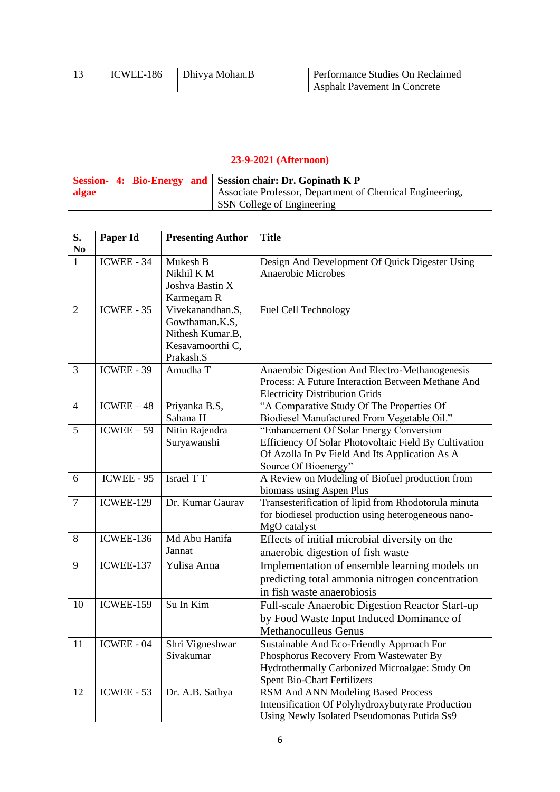| ICWEE-186 | Dhivya Mohan.B | Performance Studies On Reclaimed    |
|-----------|----------------|-------------------------------------|
|           |                | <b>Asphalt Pavement In Concrete</b> |

|       |  | Session- 4: Bio-Energy and Session chair: Dr. Gopinath K P |
|-------|--|------------------------------------------------------------|
| algae |  | Associate Professor, Department of Chemical Engineering,   |
|       |  | <b>SSN</b> College of Engineering                          |

| S.<br>N <sub>0</sub> | Paper Id          | <b>Presenting Author</b> | <b>Title</b>                                          |
|----------------------|-------------------|--------------------------|-------------------------------------------------------|
| $\mathbf{1}$         | $ICWEE - 34$      | <b>Mukesh B</b>          | Design And Development Of Quick Digester Using        |
|                      |                   | Nikhil K M               | <b>Anaerobic Microbes</b>                             |
|                      |                   | Joshva Bastin X          |                                                       |
|                      |                   | Karmegam R               |                                                       |
| $\overline{2}$       | $ICWEE - 35$      | Vivekanandhan.S,         | Fuel Cell Technology                                  |
|                      |                   | Gowthaman.K.S,           |                                                       |
|                      |                   | Nithesh Kumar.B,         |                                                       |
|                      |                   | Kesavamoorthi C,         |                                                       |
|                      |                   | Prakash.S                |                                                       |
| 3                    | <b>ICWEE - 39</b> | Amudha T                 | Anaerobic Digestion And Electro-Methanogenesis        |
|                      |                   |                          | Process: A Future Interaction Between Methane And     |
|                      |                   |                          | <b>Electricity Distribution Grids</b>                 |
| $\overline{4}$       | $ICWEE - 48$      | Priyanka B.S,            | "A Comparative Study Of The Properties Of             |
|                      |                   | Sahana H                 | Biodiesel Manufactured From Vegetable Oil."           |
| 5                    | $ICWEE - 59$      | Nitin Rajendra           | "Enhancement Of Solar Energy Conversion               |
|                      |                   | Suryawanshi              | Efficiency Of Solar Photovoltaic Field By Cultivation |
|                      |                   |                          | Of Azolla In Pv Field And Its Application As A        |
|                      |                   |                          | Source Of Bioenergy"                                  |
| 6                    | $ICWEE - 95$      | <b>Israel TT</b>         | A Review on Modeling of Biofuel production from       |
|                      |                   |                          | biomass using Aspen Plus                              |
| $\overline{7}$       | ICWEE-129         | Dr. Kumar Gaurav         | Transesterification of lipid from Rhodotorula minuta  |
|                      |                   |                          | for biodiesel production using heterogeneous nano-    |
| 8                    | ICWEE-136         | Md Abu Hanifa            | MgO catalyst                                          |
|                      |                   | Jannat                   | Effects of initial microbial diversity on the         |
|                      |                   |                          | anaerobic digestion of fish waste                     |
| 9                    | ICWEE-137         | Yulisa Arma              | Implementation of ensemble learning models on         |
|                      |                   |                          | predicting total ammonia nitrogen concentration       |
|                      |                   |                          | in fish waste anaerobiosis                            |
| 10                   | <b>ICWEE-159</b>  | Su In Kim                | Full-scale Anaerobic Digestion Reactor Start-up       |
|                      |                   |                          | by Food Waste Input Induced Dominance of              |
|                      |                   |                          | Methanoculleus Genus                                  |
| 11                   | ICWEE - 04        | Shri Vigneshwar          | Sustainable And Eco-Friendly Approach For             |
|                      |                   | Sivakumar                | Phosphorus Recovery From Wastewater By                |
|                      |                   |                          | Hydrothermally Carbonized Microalgae: Study On        |
|                      |                   |                          | <b>Spent Bio-Chart Fertilizers</b>                    |
| 12                   | ICWEE - 53        | Dr. A.B. Sathya          | RSM And ANN Modeling Based Process                    |
|                      |                   |                          | Intensification Of Polyhydroxybutyrate Production     |
|                      |                   |                          | Using Newly Isolated Pseudomonas Putida Ss9           |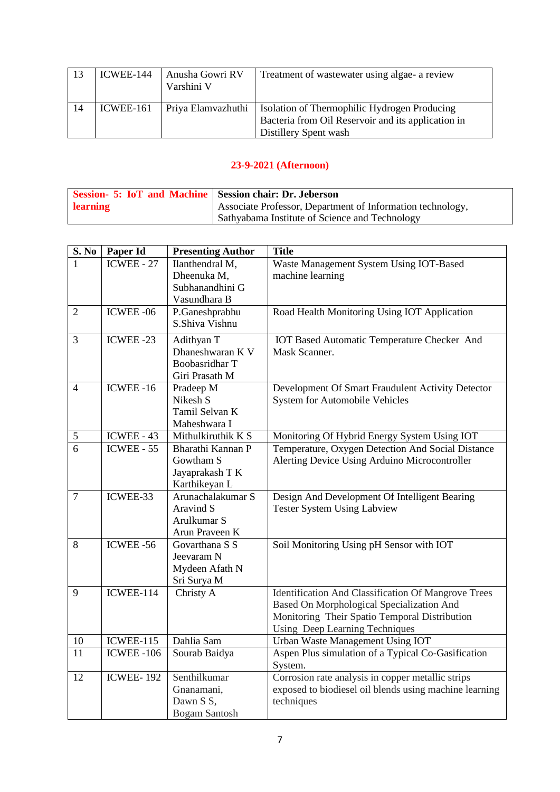| -13 | ICWEE-144 | Anusha Gowri RV<br>Varshini V | Treatment of wastewater using algae- a review                                                                                      |
|-----|-----------|-------------------------------|------------------------------------------------------------------------------------------------------------------------------------|
| 14  | ICWEE-161 | Priya Elamvazhuthi            | <b>Isolation of Thermophilic Hydrogen Producing</b><br>Bacteria from Oil Reservoir and its application in<br>Distillery Spent wash |

| <b>Session- 5: IoT and Machine Session chair: Dr. Jeberson</b> |                                                            |
|----------------------------------------------------------------|------------------------------------------------------------|
| learning                                                       | Associate Professor, Department of Information technology, |
|                                                                | Sathyabama Institute of Science and Technology             |

| S. No          | Paper Id         | <b>Presenting Author</b>                                                  | <b>Title</b>                                                                                                                                                                               |
|----------------|------------------|---------------------------------------------------------------------------|--------------------------------------------------------------------------------------------------------------------------------------------------------------------------------------------|
|                | ICWEE - 27       | Ilanthendral M,<br>Dheenuka M,                                            | Waste Management System Using IOT-Based<br>machine learning                                                                                                                                |
|                |                  | Subhanandhini G<br>Vasundhara B                                           |                                                                                                                                                                                            |
| $\overline{2}$ | ICWEE-06         | P.Ganeshprabhu<br>S.Shiva Vishnu                                          | Road Health Monitoring Using IOT Application                                                                                                                                               |
| 3              | ICWEE-23         | Adithyan T<br>Dhaneshwaran K V<br><b>Boobasridhar T</b><br>Giri Prasath M | IOT Based Automatic Temperature Checker And<br>Mask Scanner.                                                                                                                               |
| $\overline{4}$ | ICWEE-16         | Pradeep M<br>Nikesh S<br>Tamil Selvan K<br>Maheshwara I                   | Development Of Smart Fraudulent Activity Detector<br><b>System for Automobile Vehicles</b>                                                                                                 |
| $\mathfrak{S}$ | ICWEE - 43       | Mithulkiruthik $\overline{K}$ S                                           | Monitoring Of Hybrid Energy System Using IOT                                                                                                                                               |
| $\overline{6}$ | $ICWEE - 55$     | Bharathi Kannan P<br>Gowtham S<br>Jayaprakash T K<br>Karthikeyan L        | Temperature, Oxygen Detection And Social Distance<br>Alerting Device Using Arduino Microcontroller                                                                                         |
| $\overline{7}$ | ICWEE-33         | Arunachalakumar S<br>Aravind S<br>Arulkumar S<br>Arun Praveen K           | Design And Development Of Intelligent Bearing<br><b>Tester System Using Labview</b>                                                                                                        |
| 8              | ICWEE-56         | Govarthana S S<br>Jeevaram N<br>Mydeen Afath N<br>Sri Surya M             | Soil Monitoring Using pH Sensor with IOT                                                                                                                                                   |
| 9              | ICWEE-114        | Christy A                                                                 | <b>Identification And Classification Of Mangrove Trees</b><br>Based On Morphological Specialization And<br>Monitoring Their Spatio Temporal Distribution<br>Using Deep Learning Techniques |
| 10             | ICWEE-115        | Dahlia Sam                                                                | Urban Waste Management Using IOT                                                                                                                                                           |
| 11             | <b>ICWEE-106</b> | Sourab Baidya                                                             | Aspen Plus simulation of a Typical Co-Gasification<br>System.                                                                                                                              |
| 12             | <b>ICWEE-192</b> | Senthilkumar<br>Gnanamani,<br>Dawn S S,<br><b>Bogam Santosh</b>           | Corrosion rate analysis in copper metallic strips<br>exposed to biodiesel oil blends using machine learning<br>techniques                                                                  |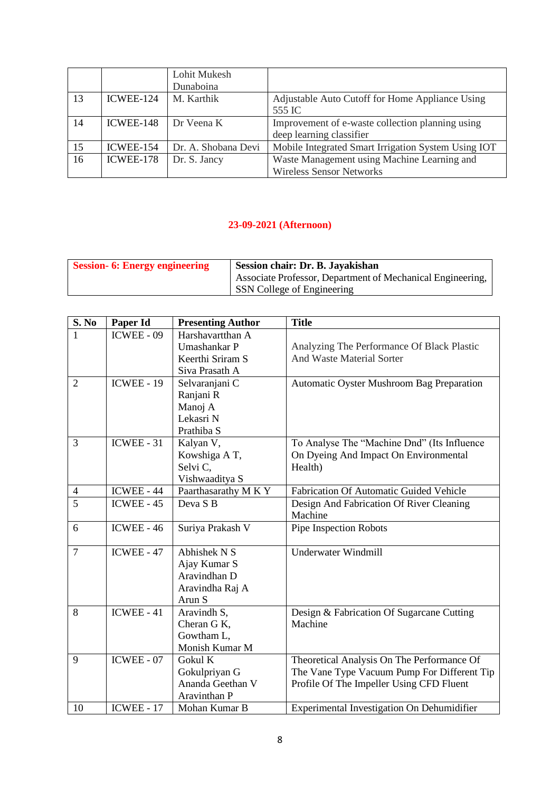|    |           | Lohit Mukesh        |                                                     |
|----|-----------|---------------------|-----------------------------------------------------|
|    |           | Dunaboina           |                                                     |
| 13 | ICWEE-124 | M. Karthik          | Adjustable Auto Cutoff for Home Appliance Using     |
|    |           |                     | 555 IC                                              |
| 14 | ICWEE-148 | Dr Veena K          | Improvement of e-waste collection planning using    |
|    |           |                     | deep learning classifier                            |
| 15 | ICWEE-154 | Dr. A. Shobana Devi | Mobile Integrated Smart Irrigation System Using IOT |
| 16 | ICWEE-178 | Dr. S. Jancy        | Waste Management using Machine Learning and         |
|    |           |                     | <b>Wireless Sensor Networks</b>                     |

| <b>Session-6: Energy engineering</b> | Session chair: Dr. B. Jayakishan                           |
|--------------------------------------|------------------------------------------------------------|
|                                      | Associate Professor, Department of Mechanical Engineering, |
|                                      | SSN College of Engineering                                 |

| S. No          | Paper Id          | <b>Presenting Author</b> | <b>Title</b>                                   |
|----------------|-------------------|--------------------------|------------------------------------------------|
| 1              | ICWEE - 09        | Harshavartthan A         |                                                |
|                |                   | Umashankar P             | Analyzing The Performance Of Black Plastic     |
|                |                   | Keerthi Sriram S         | And Waste Material Sorter                      |
|                |                   | Siva Prasath A           |                                                |
| $\overline{2}$ | <b>ICWEE - 19</b> | Selvaranjani C           | Automatic Oyster Mushroom Bag Preparation      |
|                |                   | Ranjani R                |                                                |
|                |                   | Manoj A                  |                                                |
|                |                   | Lekasri N                |                                                |
|                |                   | Prathiba S               |                                                |
| $\overline{3}$ | $ICWEE - 31$      | Kalyan V,                | To Analyse The "Machine Dnd" (Its Influence    |
|                |                   | Kowshiga A T,            | On Dyeing And Impact On Environmental          |
|                |                   | Selvi C,                 | Health)                                        |
|                |                   | Vishwaaditya S           |                                                |
| $\overline{4}$ | ICWEE - 44        | Paarthasarathy M K Y     | <b>Fabrication Of Automatic Guided Vehicle</b> |
| $\overline{5}$ | $ICWEE - 45$      | Deva S <sub>B</sub>      | Design And Fabrication Of River Cleaning       |
|                |                   |                          | Machine                                        |
| 6              | $ICWEE - 46$      | Suriya Prakash V         | Pipe Inspection Robots                         |
|                |                   |                          |                                                |
| $\overline{7}$ | ICWEE - 47        | Abhishek N S             | <b>Underwater Windmill</b>                     |
|                |                   | Ajay Kumar S             |                                                |
|                |                   | Aravindhan D             |                                                |
|                |                   | Aravindha Raj A          |                                                |
|                |                   | Arun S                   |                                                |
| 8              | $ICWEE - 41$      | Aravindh S,              | Design & Fabrication Of Sugarcane Cutting      |
|                |                   | Cheran G K,              | Machine                                        |
|                |                   | Gowtham L,               |                                                |
|                |                   | Monish Kumar M           |                                                |
| 9              | $ICWEE - 07$      | Gokul K                  | Theoretical Analysis On The Performance Of     |
|                |                   | Gokulpriyan G            | The Vane Type Vacuum Pump For Different Tip    |
|                |                   | Ananda Geethan V         | Profile Of The Impeller Using CFD Fluent       |
|                |                   | Aravinthan P             |                                                |
| 10             | <b>ICWEE - 17</b> | Mohan Kumar B            | Experimental Investigation On Dehumidifier     |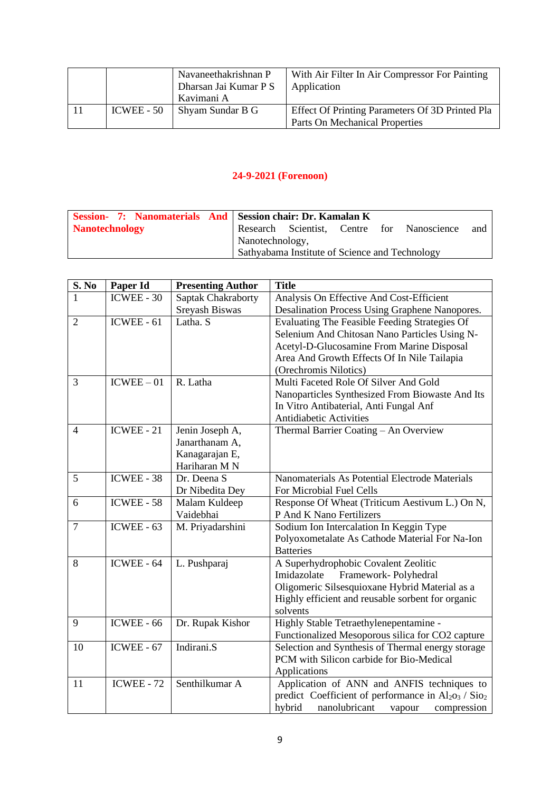|            | Navaneethakrishnan P  | With Air Filter In Air Compressor For Painting  |
|------------|-----------------------|-------------------------------------------------|
|            | Dharsan Jai Kumar P S | Application                                     |
|            | Kavimani A            |                                                 |
| ICWEE - 50 | Shyam Sundar B G      | Effect Of Printing Parameters Of 3D Printed Pla |
|            |                       | <b>Parts On Mechanical Properties</b>           |

| Session- 7: Nanomaterials And Session chair: Dr. Kamalan K |                 |                                                |  |                                            |     |
|------------------------------------------------------------|-----------------|------------------------------------------------|--|--------------------------------------------|-----|
| Nanotechnology                                             |                 |                                                |  | Research Scientist, Centre for Nanoscience | and |
|                                                            | Nanotechnology, |                                                |  |                                            |     |
|                                                            |                 | Sathyabama Institute of Science and Technology |  |                                            |     |

| <b>S. No</b>   | Paper Id          | <b>Presenting Author</b> | <b>Title</b>                                                               |
|----------------|-------------------|--------------------------|----------------------------------------------------------------------------|
| 1              | ICWEE - 30        | Saptak Chakraborty       | Analysis On Effective And Cost-Efficient                                   |
|                |                   | Sreyash Biswas           | Desalination Process Using Graphene Nanopores.                             |
| $\overline{2}$ | $ICWEE - 61$      | Latha. S                 | Evaluating The Feasible Feeding Strategies Of                              |
|                |                   |                          | Selenium And Chitosan Nano Particles Using N-                              |
|                |                   |                          | Acetyl-D-Glucosamine From Marine Disposal                                  |
|                |                   |                          | Area And Growth Effects Of In Nile Tailapia                                |
|                |                   |                          | (Orechromis Nilotics)                                                      |
| 3              | $ICWEE - 01$      | R. Latha                 | Multi Faceted Role Of Silver And Gold                                      |
|                |                   |                          | Nanoparticles Synthesized From Biowaste And Its                            |
|                |                   |                          | In Vitro Antibaterial, Anti Fungal Anf                                     |
|                |                   |                          | <b>Antidiabetic Activities</b>                                             |
| $\overline{4}$ | $ICWEE - 21$      | Jenin Joseph A,          | Thermal Barrier Coating - An Overview                                      |
|                |                   | Janarthanam A,           |                                                                            |
|                |                   | Kanagarajan E,           |                                                                            |
|                |                   | Hariharan M N            |                                                                            |
| 5              | ICWEE - 38        | Dr. Deena S              | Nanomaterials As Potential Electrode Materials                             |
|                |                   | Dr Nibedita Dey          | For Microbial Fuel Cells                                                   |
| 6              | ICWEE - 58        | Malam Kuldeep            | Response Of Wheat (Triticum Aestivum L.) On N,                             |
|                |                   | Vaidebhai                | P And K Nano Fertilizers                                                   |
| $\overline{7}$ | ICWEE - $63$      | M. Priyadarshini         | Sodium Ion Intercalation In Keggin Type                                    |
|                |                   |                          | Polyoxometalate As Cathode Material For Na-Ion                             |
|                |                   |                          | <b>Batteries</b>                                                           |
| 8              | ICWEE - 64        | L. Pushparaj             | A Superhydrophobic Covalent Zeolitic                                       |
|                |                   |                          | Framework-Polyhedral<br>Imidazolate                                        |
|                |                   |                          | Oligomeric Silsesquioxane Hybrid Material as a                             |
|                |                   |                          | Highly efficient and reusable sorbent for organic                          |
|                |                   |                          | solvents                                                                   |
| 9              | ICWEE - 66        | Dr. Rupak Kishor         | Highly Stable Tetraethylenepentamine -                                     |
|                |                   |                          | Functionalized Mesoporous silica for CO2 capture                           |
| 10             | ICWEE - 67        | Indirani.S               | Selection and Synthesis of Thermal energy storage                          |
|                |                   |                          | PCM with Silicon carbide for Bio-Medical                                   |
|                |                   |                          | Applications                                                               |
| 11             | <b>ICWEE - 72</b> | Senthilkumar A           | Application of ANN and ANFIS techniques to                                 |
|                |                   |                          | predict Coefficient of performance in Al <sub>2O3</sub> / Sio <sub>2</sub> |
|                |                   |                          | hybrid<br>nanolubricant<br>compression<br>vapour                           |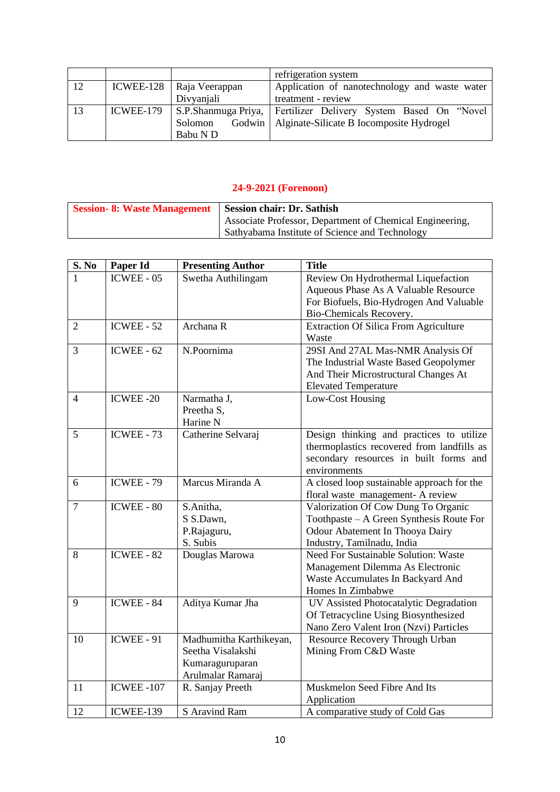|    |           |                            | refrigeration system                                            |
|----|-----------|----------------------------|-----------------------------------------------------------------|
| 12 |           | ICWEE-128   Raja Veerappan | Application of nanotechnology and waste water                   |
|    |           | Divyanjali                 | treatment - review                                              |
| 13 | ICWEE-179 |                            | S.P.Shanmuga Priya, Fertilizer Delivery System Based On "Novel" |
|    |           | Solomon                    | Godwin   Alginate-Silicate B Iocomposite Hydrogel               |
|    |           | Babu N D                   |                                                                 |

| Session-8: Waste Management   Session chair: Dr. Sathish |                                                          |
|----------------------------------------------------------|----------------------------------------------------------|
|                                                          | Associate Professor, Department of Chemical Engineering, |
|                                                          | Sathyabama Institute of Science and Technology           |

| S. No          | Paper Id          | <b>Presenting Author</b> | <b>Title</b>                                 |
|----------------|-------------------|--------------------------|----------------------------------------------|
|                | ICWEE - 05        | Swetha Authilingam       | Review On Hydrothermal Liquefaction          |
|                |                   |                          | Aqueous Phase As A Valuable Resource         |
|                |                   |                          | For Biofuels, Bio-Hydrogen And Valuable      |
|                |                   |                          | Bio-Chemicals Recovery.                      |
| $\overline{2}$ | $ICWEE - 52$      | Archana R                | <b>Extraction Of Silica From Agriculture</b> |
|                |                   |                          | Waste                                        |
| 3              | ICWEE - $62$      | N.Poornima               | 29SI And 27AL Mas-NMR Analysis Of            |
|                |                   |                          | The Industrial Waste Based Geopolymer        |
|                |                   |                          | And Their Microstructural Changes At         |
|                |                   |                          | <b>Elevated Temperature</b>                  |
| $\overline{4}$ | ICWEE-20          | Narmatha J,              | Low-Cost Housing                             |
|                |                   | Preetha S,               |                                              |
|                |                   | Harine N                 |                                              |
| 5              | $ICWEE - 73$      | Catherine Selvaraj       | Design thinking and practices to utilize     |
|                |                   |                          | thermoplastics recovered from landfills as   |
|                |                   |                          | secondary resources in built forms and       |
|                |                   |                          | environments                                 |
| 6              | <b>ICWEE - 79</b> | Marcus Miranda A         | A closed loop sustainable approach for the   |
|                |                   |                          | floral waste management- A review            |
| $\tau$         | ICWEE - 80        | S.Anitha,                | Valorization Of Cow Dung To Organic          |
|                |                   | S S.Dawn,                | Toothpaste - A Green Synthesis Route For     |
|                |                   | P.Rajaguru,              | Odour Abatement In Thooya Dairy              |
|                |                   | S. Subis                 | Industry, Tamilnadu, India                   |
| 8              | <b>ICWEE - 82</b> | Douglas Marowa           | <b>Need For Sustainable Solution: Waste</b>  |
|                |                   |                          | Management Dilemma As Electronic             |
|                |                   |                          | Waste Accumulates In Backyard And            |
|                |                   |                          | Homes In Zimbabwe                            |
| 9              | ICWEE - 84        | Aditya Kumar Jha         | UV Assisted Photocatalytic Degradation       |
|                |                   |                          | Of Tetracycline Using Biosynthesized         |
|                |                   |                          | Nano Zero Valent Iron (Nzvi) Particles       |
| 10             | <b>ICWEE - 91</b> | Madhumitha Karthikeyan,  | Resource Recovery Through Urban              |
|                |                   | Seetha Visalakshi        | Mining From C&D Waste                        |
|                |                   | Kumaraguruparan          |                                              |
|                |                   | Arulmalar Ramaraj        |                                              |
| 11             | <b>ICWEE -107</b> | R. Sanjay Preeth         | Muskmelon Seed Fibre And Its                 |
|                |                   |                          | Application                                  |
| 12             | ICWEE-139         | S Aravind Ram            | A comparative study of Cold Gas              |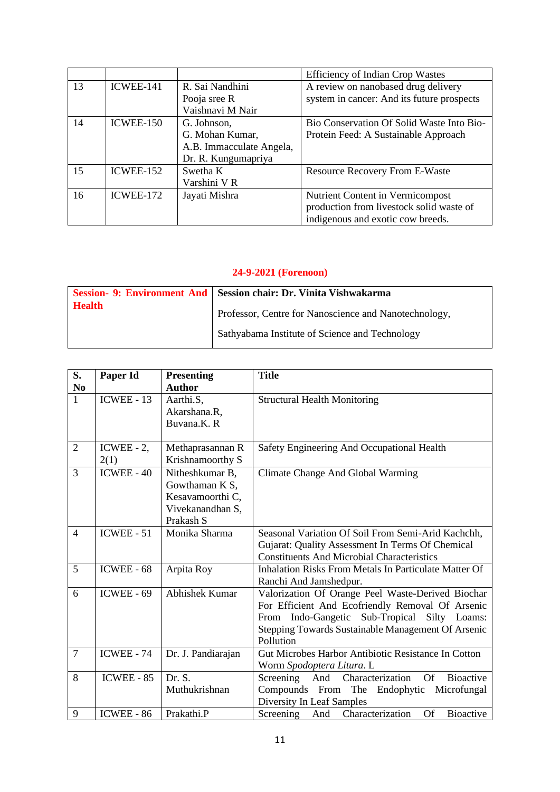|    |           |                          | <b>Efficiency of Indian Crop Wastes</b>    |
|----|-----------|--------------------------|--------------------------------------------|
| 13 | ICWEE-141 | R. Sai Nandhini          | A review on nanobased drug delivery        |
|    |           | Pooja sree R             | system in cancer: And its future prospects |
|    |           | Vaishnavi M Nair         |                                            |
| 14 | ICWEE-150 | G. Johnson,              | Bio Conservation Of Solid Waste Into Bio-  |
|    |           | G. Mohan Kumar,          | Protein Feed: A Sustainable Approach       |
|    |           | A.B. Immacculate Angela, |                                            |
|    |           | Dr. R. Kungumapriya      |                                            |
| 15 | ICWEE-152 | Swetha K                 | <b>Resource Recovery From E-Waste</b>      |
|    |           | Varshini VR              |                                            |
| 16 | ICWEE-172 | Jayati Mishra            | Nutrient Content in Vermicompost           |
|    |           |                          | production from livestock solid waste of   |
|    |           |                          | indigenous and exotic cow breeds.          |

|               | Session- 9: Environment And   Session chair: Dr. Vinita Vishwakarma |
|---------------|---------------------------------------------------------------------|
| <b>Health</b> | Professor, Centre for Nanoscience and Nanotechnology,               |
|               | Sathyabama Institute of Science and Technology                      |

| S.             | Paper Id              | <b>Presenting</b>                                                                      | <b>Title</b>                                                                                                                                                                                                             |
|----------------|-----------------------|----------------------------------------------------------------------------------------|--------------------------------------------------------------------------------------------------------------------------------------------------------------------------------------------------------------------------|
| N <sub>0</sub> |                       | <b>Author</b>                                                                          |                                                                                                                                                                                                                          |
| $\mathbf{1}$   | $ICWEE - 13$          | Aarthi.S,<br>Akarshana.R,<br>Buvana.K.R                                                | <b>Structural Health Monitoring</b>                                                                                                                                                                                      |
| $\mathfrak{2}$ | ICWEE - $2$ ,<br>2(1) | Methaprasannan R<br>Krishnamoorthy S                                                   | Safety Engineering And Occupational Health                                                                                                                                                                               |
| 3              | $ICWEE - 40$          | Nitheshkumar B,<br>Gowthaman K S,<br>Kesavamoorthi C,<br>Vivekanandhan S,<br>Prakash S | Climate Change And Global Warming                                                                                                                                                                                        |
| $\overline{4}$ | $ICWEE - 51$          | Monika Sharma                                                                          | Seasonal Variation Of Soil From Semi-Arid Kachchh,<br>Gujarat: Quality Assessment In Terms Of Chemical<br><b>Constituents And Microbial Characteristics</b>                                                              |
| 5              | ICWEE - 68            | Arpita Roy                                                                             | <b>Inhalation Risks From Metals In Particulate Matter Of</b><br>Ranchi And Jamshedpur.                                                                                                                                   |
| 6              | $ICWEE - 69$          | <b>Abhishek Kumar</b>                                                                  | Valorization Of Orange Peel Waste-Derived Biochar<br>For Efficient And Ecofriendly Removal Of Arsenic<br>From Indo-Gangetic Sub-Tropical Silty Loams:<br>Stepping Towards Sustainable Management Of Arsenic<br>Pollution |
| $\overline{7}$ | <b>ICWEE - 74</b>     | Dr. J. Pandiarajan                                                                     | Gut Microbes Harbor Antibiotic Resistance In Cotton<br>Worm Spodoptera Litura. L                                                                                                                                         |
| 8              | ICWEE - 85            | Dr. S.<br>Muthukrishnan                                                                | Screening And Characterization<br><b>Bioactive</b><br><b>Of</b><br>Compounds From<br>The<br>Microfungal<br>Endophytic<br>Diversity In Leaf Samples                                                                       |
| 9              | ICWEE - 86            | Prakathi.P                                                                             | Characterization<br><b>Of</b><br>Screening And<br><b>Bioactive</b>                                                                                                                                                       |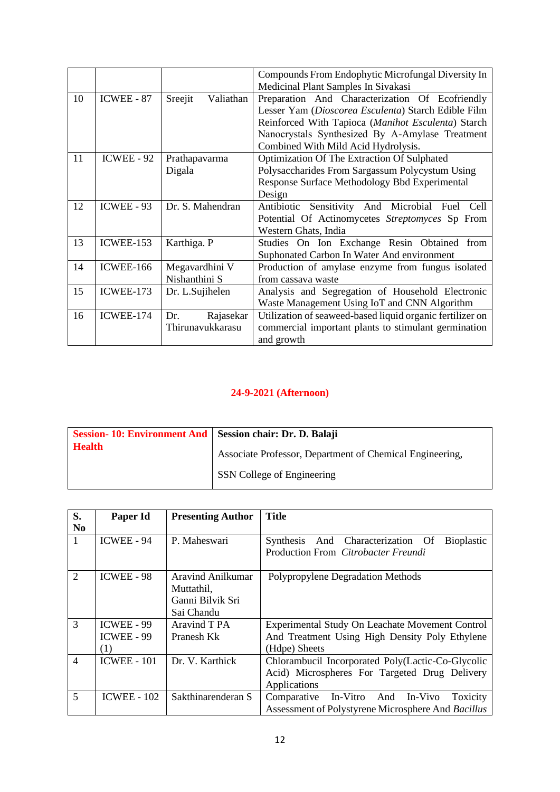|    |                   |                      | Compounds From Endophytic Microfungal Diversity In        |
|----|-------------------|----------------------|-----------------------------------------------------------|
|    |                   |                      | Medicinal Plant Samples In Sivakasi                       |
| 10 | <b>ICWEE - 87</b> | Sreejit<br>Valiathan | Preparation And Characterization Of Ecofriendly           |
|    |                   |                      | Lesser Yam (Dioscorea Esculenta) Starch Edible Film       |
|    |                   |                      | Reinforced With Tapioca (Manihot Esculenta) Starch        |
|    |                   |                      | Nanocrystals Synthesized By A-Amylase Treatment           |
|    |                   |                      | Combined With Mild Acid Hydrolysis.                       |
| 11 | <b>ICWEE - 92</b> | Prathapavarma        | Optimization Of The Extraction Of Sulphated               |
|    |                   | Digala               | Polysaccharides From Sargassum Polycystum Using           |
|    |                   |                      | Response Surface Methodology Bbd Experimental             |
|    |                   |                      | Design                                                    |
| 12 | ICWEE - 93        | Dr. S. Mahendran     | Sensitivity And Microbial Fuel<br>Antibiotic<br>Cell      |
|    |                   |                      | Potential Of Actinomycetes Streptomyces Sp From           |
|    |                   |                      | Western Ghats, India                                      |
| 13 | ICWEE-153         | Karthiga. P          | Studies On Ion Exchange Resin Obtained<br>from            |
|    |                   |                      | Suphonated Carbon In Water And environment                |
| 14 | <b>ICWEE-166</b>  | Megavardhini V       | Production of amylase enzyme from fungus isolated         |
|    |                   | Nishanthini S        | from cassava waste                                        |
| 15 | ICWEE-173         | Dr. L.Sujihelen      | Analysis and Segregation of Household Electronic          |
|    |                   |                      | Waste Management Using IoT and CNN Algorithm              |
| 16 | ICWEE-174         | Rajasekar<br>Dr.     | Utilization of seaweed-based liquid organic fertilizer on |
|    |                   | Thirunavukkarasu     | commercial important plants to stimulant germination      |
|    |                   |                      | and growth                                                |

| Session- 10: Environment And   Session chair: Dr. D. Balaji |                                                          |
|-------------------------------------------------------------|----------------------------------------------------------|
| <b>Health</b>                                               | Associate Professor, Department of Chemical Engineering, |
|                                                             | <b>SSN</b> College of Engineering                        |

| S.             | Paper Id           | <b>Presenting Author</b> | <b>Title</b>                                                     |
|----------------|--------------------|--------------------------|------------------------------------------------------------------|
| N <sub>0</sub> |                    |                          |                                                                  |
| 1              | ICWEE - 94         | P. Maheswari             | And Characterization Of<br><b>Bioplastic</b><br><b>Synthesis</b> |
|                |                    |                          | Production From Citrobacter Freundi                              |
|                |                    |                          |                                                                  |
| $\overline{2}$ | <b>ICWEE - 98</b>  | Aravind Anilkumar        | Polypropylene Degradation Methods                                |
|                |                    | Muttathil,               |                                                                  |
|                |                    | Ganni Bilvik Sri         |                                                                  |
|                |                    | Sai Chandu               |                                                                  |
| 3              | ICWEE - 99         | Aravind T PA             | Experimental Study On Leachate Movement Control                  |
|                | ICWEE - 99         | Pranesh Kk               | And Treatment Using High Density Poly Ethylene                   |
|                | (1)                |                          | (Hdpe) Sheets                                                    |
| $\overline{4}$ | <b>ICWEE - 101</b> | Dr. V. Karthick          | Chlorambucil Incorporated Poly(Lactic-Co-Glycolic                |
|                |                    |                          | Acid) Microspheres For Targeted Drug Delivery                    |
|                |                    |                          | Applications                                                     |
| 5              | <b>ICWEE - 102</b> | Sakthinarenderan S       | In-Vitro<br>Comparative<br>And<br>In-Vivo<br>Toxicity            |
|                |                    |                          | Assessment of Polystyrene Microsphere And Bacillus               |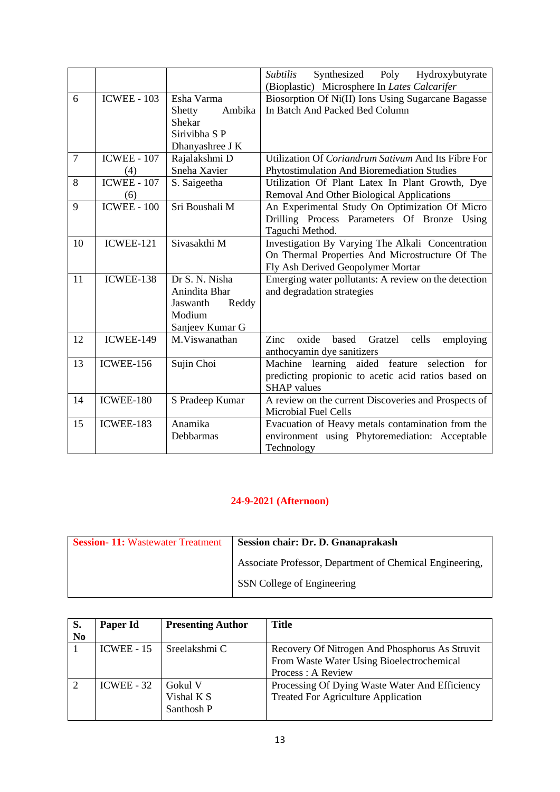|                |                    |                   | Synthesized<br><i>Subtilis</i><br>Poly Hydroxybutyrate<br>(Bioplastic) Microsphere In Lates Calcarifer |
|----------------|--------------------|-------------------|--------------------------------------------------------------------------------------------------------|
| 6              | <b>ICWEE - 103</b> | Esha Varma        | Biosorption Of Ni(II) Ions Using Sugarcane Bagasse                                                     |
|                |                    |                   | In Batch And Packed Bed Column                                                                         |
|                |                    | Ambika<br>Shetty  |                                                                                                        |
|                |                    | Shekar            |                                                                                                        |
|                |                    | Sirivibha S P     |                                                                                                        |
|                |                    | Dhanyashree J K   |                                                                                                        |
| $\overline{7}$ | <b>ICWEE - 107</b> | Rajalakshmi D     | Utilization Of Coriandrum Sativum And Its Fibre For                                                    |
|                | (4)                | Sneha Xavier      | Phytostimulation And Bioremediation Studies                                                            |
| 8              | <b>ICWEE - 107</b> | S. Saigeetha      | Utilization Of Plant Latex In Plant Growth, Dye                                                        |
|                | (6)                |                   | Removal And Other Biological Applications                                                              |
| 9              | $ICWEE - 100$      | Sri Boushali M    | An Experimental Study On Optimization Of Micro                                                         |
|                |                    |                   | Drilling Process Parameters Of Bronze Using                                                            |
|                |                    |                   | Taguchi Method.                                                                                        |
| 10             | ICWEE-121          | Sivasakthi M      | Investigation By Varying The Alkali Concentration                                                      |
|                |                    |                   | On Thermal Properties And Microstructure Of The                                                        |
|                |                    |                   | Fly Ash Derived Geopolymer Mortar                                                                      |
| 11             | ICWEE-138          | Dr S. N. Nisha    | Emerging water pollutants: A review on the detection                                                   |
|                |                    | Anindita Bhar     | and degradation strategies                                                                             |
|                |                    | Jaswanth<br>Reddy |                                                                                                        |
|                |                    | Modium            |                                                                                                        |
|                |                    | Sanjeev Kumar G   |                                                                                                        |
| 12             | ICWEE-149          | M.Viswanathan     | Zinc<br>oxide<br>based<br>Gratzel<br>cells<br>employing                                                |
|                |                    |                   |                                                                                                        |
|                |                    |                   | anthocyamin dye sanitizers                                                                             |
| 13             | <b>ICWEE-156</b>   | Sujin Choi        | Machine learning aided feature selection<br>for                                                        |
|                |                    |                   | predicting propionic to acetic acid ratios based on                                                    |
|                |                    |                   | <b>SHAP</b> values                                                                                     |
| 14             | ICWEE-180          | S Pradeep Kumar   | A review on the current Discoveries and Prospects of                                                   |
|                |                    |                   | <b>Microbial Fuel Cells</b>                                                                            |
| 15             | ICWEE-183          | Anamika           | Evacuation of Heavy metals contamination from the                                                      |
|                |                    | Debbarmas         | environment using Phytoremediation: Acceptable                                                         |
|                |                    |                   | Technology                                                                                             |

| <b>Session-11: Wastewater Treatment</b> | Session chair: Dr. D. Gnanaprakash                       |
|-----------------------------------------|----------------------------------------------------------|
|                                         | Associate Professor, Department of Chemical Engineering, |
|                                         | SSN College of Engineering                               |

| Paper Id     | <b>Presenting Author</b> | <b>Title</b>                                   |
|--------------|--------------------------|------------------------------------------------|
|              |                          |                                                |
| $ICWEE - 15$ | Sreelakshmi C            | Recovery Of Nitrogen And Phosphorus As Struvit |
|              |                          | From Waste Water Using Bioelectrochemical      |
|              |                          | Process : A Review                             |
| $ICWEE - 32$ | - Gokul V                | Processing Of Dying Waste Water And Efficiency |
|              | Vishal K S               | <b>Treated For Agriculture Application</b>     |
|              | Santhosh P               |                                                |
|              |                          |                                                |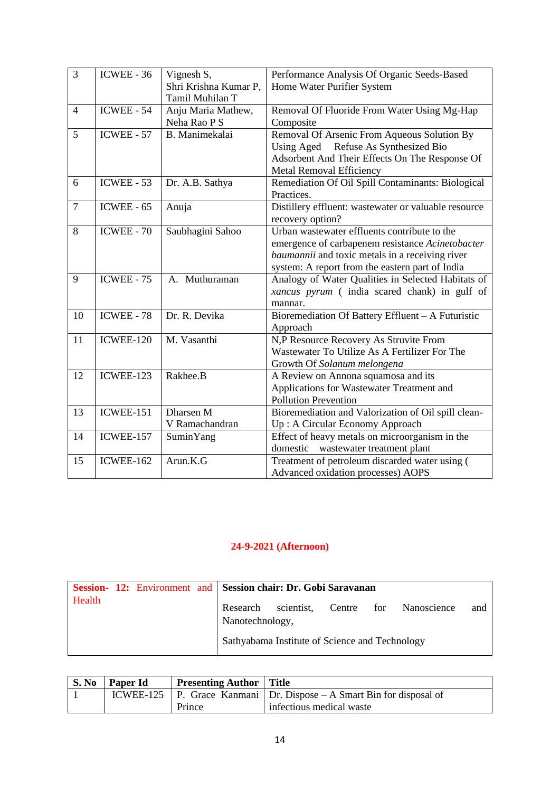| $\overline{3}$ | <b>ICWEE - 36</b> | Vignesh S,            | Performance Analysis Of Organic Seeds-Based          |
|----------------|-------------------|-----------------------|------------------------------------------------------|
|                |                   | Shri Krishna Kumar P, | Home Water Purifier System                           |
|                |                   | Tamil Muhilan T       |                                                      |
| $\overline{4}$ | $ICWEE - 54$      | Anju Maria Mathew,    | Removal Of Fluoride From Water Using Mg-Hap          |
|                |                   | Neha Rao P S          | Composite                                            |
| 5              | <b>ICWEE - 57</b> | B. Manimekalai        | Removal Of Arsenic From Aqueous Solution By          |
|                |                   |                       | Using Aged Refuse As Synthesized Bio                 |
|                |                   |                       | Adsorbent And Their Effects On The Response Of       |
|                |                   |                       | Metal Removal Efficiency                             |
| 6              | ICWEE - 53        | Dr. A.B. Sathya       | Remediation Of Oil Spill Contaminants: Biological    |
|                |                   |                       | Practices.                                           |
| $\overline{7}$ | ICWEE - $65$      | Anuja                 | Distillery effluent: wastewater or valuable resource |
|                |                   |                       | recovery option?                                     |
| 8              | <b>ICWEE - 70</b> | Saubhagini Sahoo      | Urban wastewater effluents contribute to the         |
|                |                   |                       | emergence of carbapenem resistance Acinetobacter     |
|                |                   |                       | baumannii and toxic metals in a receiving river      |
|                |                   |                       | system: A report from the eastern part of India      |
| 9              | <b>ICWEE - 75</b> | A. Muthuraman         | Analogy of Water Qualities in Selected Habitats of   |
|                |                   |                       | xancus pyrum ( india scared chank) in gulf of        |
|                |                   |                       | mannar.                                              |
| 10             | ICWEE - 78        | Dr. R. Devika         | Bioremediation Of Battery Effluent - A Futuristic    |
|                |                   |                       | Approach                                             |
| 11             | ICWEE-120         | M. Vasanthi           | N,P Resource Recovery As Struvite From               |
|                |                   |                       | Wastewater To Utilize As A Fertilizer For The        |
|                |                   |                       | Growth Of Solanum melongena                          |
| 12             | ICWEE-123         | Rakhee.B              | A Review on Annona squamosa and its                  |
|                |                   |                       | Applications for Wastewater Treatment and            |
|                |                   |                       | <b>Pollution Prevention</b>                          |
| 13             | ICWEE-151         | Dharsen M             | Bioremediation and Valorization of Oil spill clean-  |
|                |                   | V Ramachandran        | Up: A Circular Economy Approach                      |
| 14             | ICWEE-157         | SuminYang             | Effect of heavy metals on microorganism in the       |
|                |                   |                       | wastewater treatment plant<br>domestic               |
| 15             | <b>ICWEE-162</b>  | Arun.K.G              | Treatment of petroleum discarded water using (       |
|                |                   |                       | Advanced oxidation processes) AOPS                   |

|        | Session- 12: Environment and Session chair: Dr. Gobi Saravanan |                 |                                                |  |                 |     |
|--------|----------------------------------------------------------------|-----------------|------------------------------------------------|--|-----------------|-----|
| Health |                                                                | Nanotechnology, | Research scientist, Centre                     |  | for Nanoscience | and |
|        |                                                                |                 | Sathyabama Institute of Science and Technology |  |                 |     |

| S. No | <b>Paper Id</b> | <b>Presenting Author</b> Title |                                                                          |
|-------|-----------------|--------------------------------|--------------------------------------------------------------------------|
|       |                 |                                | ICWEE-125   P. Grace Kanmani   Dr. Dispose – A Smart Bin for disposal of |
|       |                 | Prince                         | infectious medical waste                                                 |